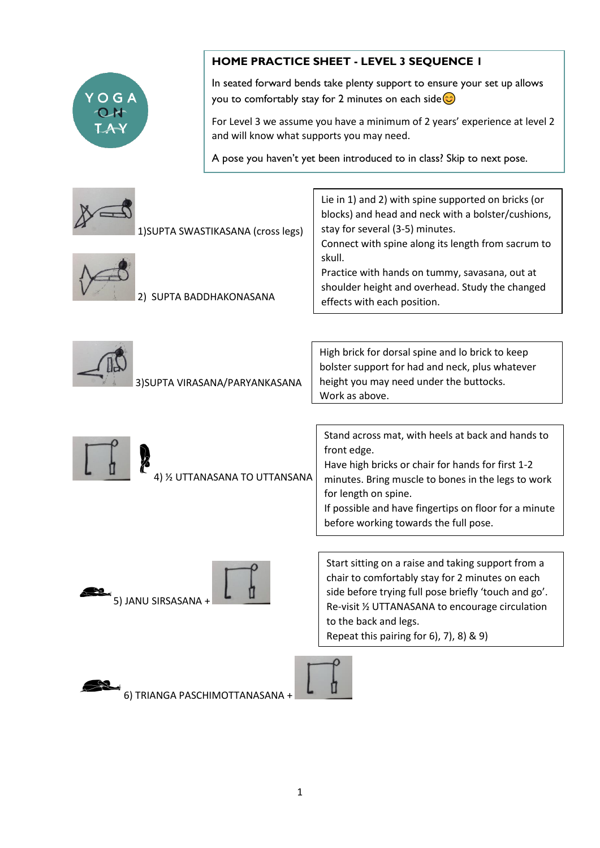

## **HOME PRACTICE SHEET - LEVEL 3 SEQUENCE 1**

In seated forward bends take plenty support to ensure your set up allows you to comfortably stay for 2 minutes on each side  $\odot$ 

For Level 3 we assume you have a minimum of 2 years' experience at level 2 and will know what supports you may need.

A pose you haven't yet been introduced to in class? Skip to next pose.

| 1) SUPTA SWASTIKASANA (cross legs)<br>2) SUPTA BADDHAKONASANA | Lie in 1) and 2) with spine supported on bricks (or<br>blocks) and head and neck with a bolster/cushions,<br>stay for several (3-5) minutes.<br>Connect with spine along its length from sacrum to<br>skull.<br>Practice with hands on tummy, savasana, out at<br>shoulder height and overhead. Study the changed<br>effects with each position. |
|---------------------------------------------------------------|--------------------------------------------------------------------------------------------------------------------------------------------------------------------------------------------------------------------------------------------------------------------------------------------------------------------------------------------------|
| 3) SUPTA VIRASANA/PARYANKASANA                                | High brick for dorsal spine and lo brick to keep<br>bolster support for had and neck, plus whatever<br>height you may need under the buttocks.<br>Work as above.                                                                                                                                                                                 |
| 4) 1/2 UTTANASANA TO UTTANSANA                                | Stand across mat, with heels at back and hands to<br>front edge.<br>Have high bricks or chair for hands for first 1-2<br>minutes. Bring muscle to bones in the legs to work<br>for length on spine.<br>If possible and have fingertips on floor for a minute<br>before working towards the full pose.                                            |
| 5) JANU SIRSASANA +                                           | Start sitting on a raise and taking support from a<br>chair to comfortably stay for 2 minutes on each<br>side before trying full pose briefly 'touch and go'.<br>Re-visit 1/2 UTTANASANA to encourage circulation<br>to the back and legs.<br>Repeat this pairing for $6$ , $7$ , $8$ ) & $9$ )                                                  |
| 6) TRIANGA PASCHIMOTTANASANA +                                |                                                                                                                                                                                                                                                                                                                                                  |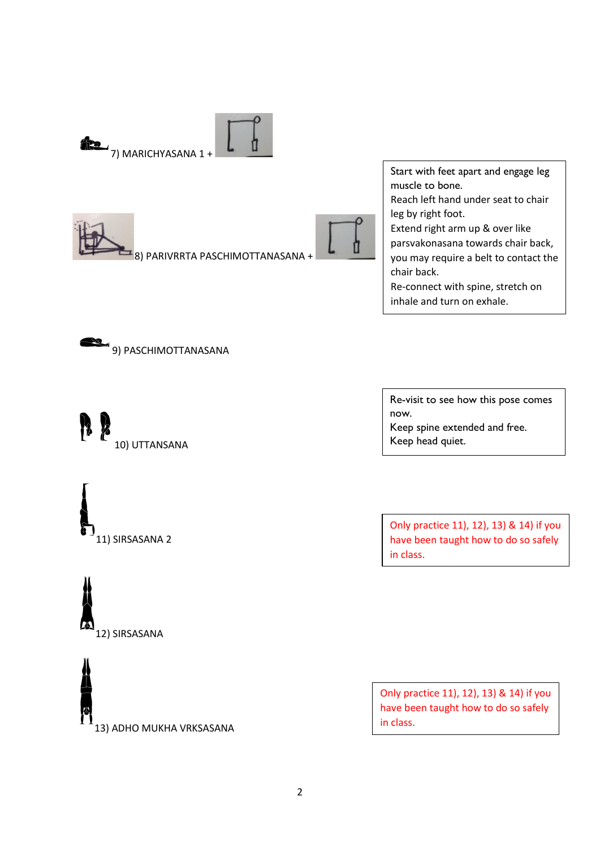

Start with feet apart and engage leg muscle to bone. Reach left hand under seat to chair leg by right foot. Extend right arm up & over like parsvakonasana towards chair back, you may require a belt to contact the chair back. Re-connect with spine, stretch on inhale and turn on exhale.









13) ADHO MUKHA VRKSASANA

Re-visit to see how this pose comes now. Keep spine extended and free. Keep head quiet.

Only practice 11), 12), 13) & 14) if you have been taught how to do so safely in class.

Only practice 11), 12), 13) & 14) if you have been taught how to do so safely in class.